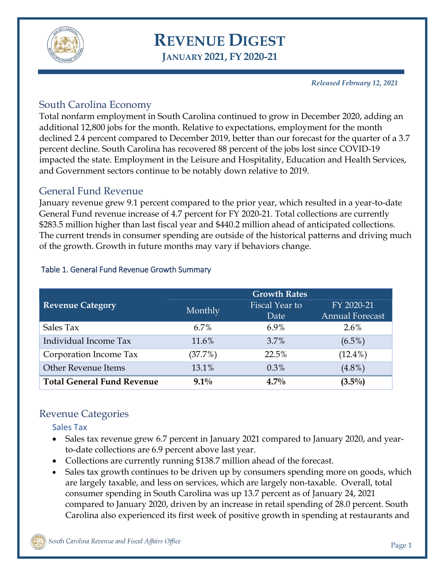

# **REVENUE DIGEST JANUARY 2021, FY 2020-21**

*Released February 12, 2021*

# South Carolina Economy

Total nonfarm employment in South Carolina continued to grow in December 2020, adding an additional 12,800 jobs for the month. Relative to expectations, employment for the month declined 2.4 percent compared to December 2019, better than our forecast for the quarter of a 3.7 percent decline. South Carolina has recovered 88 percent of the jobs lost since COVID-19 impacted the state. Employment in the Leisure and Hospitality, Education and Health Services, and Government sectors continue to be notably down relative to 2019.

#### General Fund Revenue

January revenue grew 9.1 percent compared to the prior year, which resulted in a year-to-date General Fund revenue increase of 4.7 percent for FY 2020-21. Total collections are currently \$283.5 million higher than last fiscal year and \$440.2 million ahead of anticipated collections. The current trends in consumer spending are outside of the historical patterns and driving much of the growth. Growth in future months may vary if behaviors change.

|                                   | <b>Growth Rates</b> |                       |                        |  |  |
|-----------------------------------|---------------------|-----------------------|------------------------|--|--|
| <b>Revenue Category</b>           | Monthly             | <b>Fiscal Year to</b> | FY 2020-21             |  |  |
|                                   |                     | Date                  | <b>Annual Forecast</b> |  |  |
| Sales Tax                         | 6.7%                | 6.9%                  | $2.6\%$                |  |  |
| Individual Income Tax             | 11.6%               | 3.7%                  | $(6.5\%)$              |  |  |
| Corporation Income Tax            | (37.7%)             | 22.5%                 | $(12.4\%)$             |  |  |
| <b>Other Revenue Items</b>        | 13.1%               | 0.3%                  | $(4.8\%)$              |  |  |
| <b>Total General Fund Revenue</b> | $9.1\%$             | $4.7\%$               | $(3.5\%)$              |  |  |

#### Table 1. General Fund Revenue Growth Summary

# Revenue Categories

#### Sales Tax

- Sales tax revenue grew 6.7 percent in January 2021 compared to January 2020, and yearto-date collections are 6.9 percent above last year.
- Collections are currently running \$138.7 million ahead of the forecast.
- Sales tax growth continues to be driven up by consumers spending more on goods, which are largely taxable, and less on services, which are largely non-taxable. Overall, total consumer spending in South Carolina was up 13.7 percent as of January 24, 2021 compared to January 2020, driven by an increase in retail spending of 28.0 percent. South Carolina also experienced its first week of positive growth in spending at restaurants and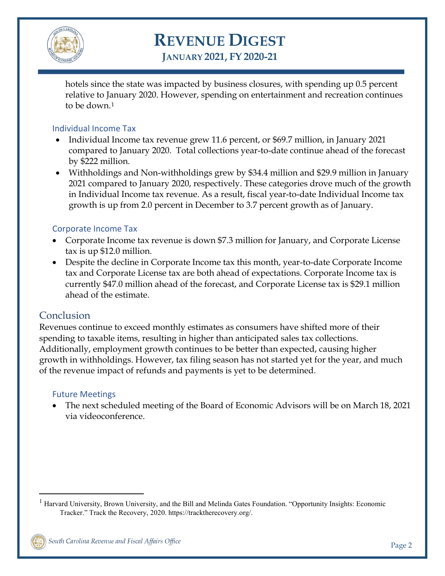

# **REVENUE DIGEST**

**JANUARY 2021, FY 2020-21**

hotels since the state was impacted by business closures, with spending up 0.5 percent relative to January 2020. However, spending on entertainment and recreation continues to be down.[1](#page-1-0)

#### Individual Income Tax

- Individual Income tax revenue grew 11.6 percent, or \$69.7 million, in January 2021 compared to January 2020. Total collections year-to-date continue ahead of the forecast by \$222 million.
- Withholdings and Non-withholdings grew by \$34.4 million and \$29.9 million in January 2021 compared to January 2020, respectively. These categories drove much of the growth in Individual Income tax revenue. As a result, fiscal year-to-date Individual Income tax growth is up from 2.0 percent in December to 3.7 percent growth as of January.

#### Corporate Income Tax

- Corporate Income tax revenue is down \$7.3 million for January, and Corporate License tax is up \$12.0 million.
- Despite the decline in Corporate Income tax this month, year-to-date Corporate Income tax and Corporate License tax are both ahead of expectations. Corporate Income tax is currently \$47.0 million ahead of the forecast, and Corporate License tax is \$29.1 million ahead of the estimate.

# Conclusion

Revenues continue to exceed monthly estimates as consumers have shifted more of their spending to taxable items, resulting in higher than anticipated sales tax collections. Additionally, employment growth continues to be better than expected, causing higher growth in withholdings. However, tax filing season has not started yet for the year, and much of the revenue impact of refunds and payments is yet to be determined.

#### Future Meetings

• The next scheduled meeting of the Board of Economic Advisors will be on March 18, 2021 via videoconference.

<span id="page-1-0"></span><sup>&</sup>lt;sup>1</sup> Harvard University, Brown University, and the Bill and Melinda Gates Foundation. "Opportunity Insights: Economic Tracker." Track the Recovery, 2020. https://tracktherecovery.org/.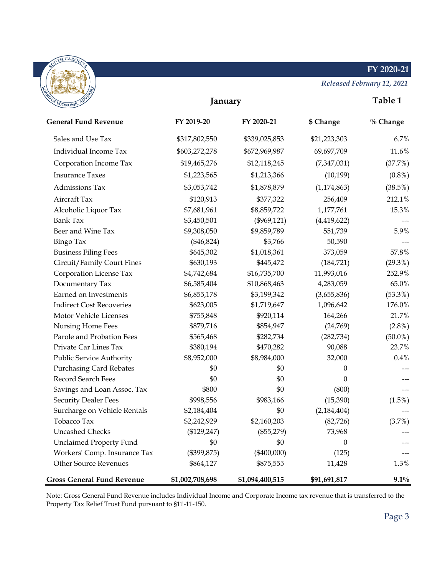#### **FY 2020-21**



*Released February 12, 2021*

| <b>OF ECONOMIC</b>                | January         |                 |               | Table 1    |
|-----------------------------------|-----------------|-----------------|---------------|------------|
| <b>General Fund Revenue</b>       | FY 2019-20      | FY 2020-21      | \$ Change     | % Change   |
| Sales and Use Tax                 | \$317,802,550   | \$339,025,853   | \$21,223,303  | 6.7%       |
| Individual Income Tax             | \$603,272,278   | \$672,969,987   | 69,697,709    | 11.6%      |
| Corporation Income Tax            | \$19,465,276    | \$12,118,245    | (7,347,031)   | (37.7%)    |
| <b>Insurance Taxes</b>            | \$1,223,565     | \$1,213,366     | (10, 199)     | $(0.8\%)$  |
| Admissions Tax                    | \$3,053,742     | \$1,878,879     | (1, 174, 863) | (38.5%)    |
| Aircraft Tax                      | \$120,913       | \$377,322       | 256,409       | 212.1%     |
| Alcoholic Liquor Tax              | \$7,681,961     | \$8,859,722     | 1,177,761     | 15.3%      |
| <b>Bank Tax</b>                   | \$3,450,501     | $(\$969,121)$   | (4,419,622)   |            |
| Beer and Wine Tax                 | \$9,308,050     | \$9,859,789     | 551,739       | 5.9%       |
| <b>Bingo Tax</b>                  | $(*46,824)$     | \$3,766         | 50,590        |            |
| <b>Business Filing Fees</b>       | \$645,302       | \$1,018,361     | 373,059       | 57.8%      |
| Circuit/Family Court Fines        | \$630,193       | \$445,472       | (184, 721)    | $(29.3\%)$ |
| Corporation License Tax           | \$4,742,684     | \$16,735,700    | 11,993,016    | 252.9%     |
| Documentary Tax                   | \$6,585,404     | \$10,868,463    | 4,283,059     | 65.0%      |
| Earned on Investments             | \$6,855,178     | \$3,199,342     | (3,655,836)   | $(53.3\%)$ |
| <b>Indirect Cost Recoveries</b>   | \$623,005       | \$1,719,647     | 1,096,642     | 176.0%     |
| Motor Vehicle Licenses            | \$755,848       | \$920,114       | 164,266       | 21.7%      |
| Nursing Home Fees                 | \$879,716       | \$854,947       | (24,769)      | $(2.8\%)$  |
| Parole and Probation Fees         | \$565,468       | \$282,734       | (282, 734)    | $(50.0\%)$ |
| Private Car Lines Tax             | \$380,194       | \$470,282       | 90,088        | 23.7%      |
| Public Service Authority          | \$8,952,000     | \$8,984,000     | 32,000        | 0.4%       |
| <b>Purchasing Card Rebates</b>    | \$0             | \$0             | 0             |            |
| Record Search Fees                | \$0             | \$0             | $\theta$      |            |
| Savings and Loan Assoc. Tax       | \$800           | \$0             | (800)         |            |
| <b>Security Dealer Fees</b>       | \$998,556       | \$983,166       | (15,390)      | $(1.5\%)$  |
| Surcharge on Vehicle Rentals      | \$2,184,404     | \$0             | (2, 184, 404) |            |
| Tobacco Tax                       | \$2,242,929     | \$2,160,203     | (82, 726)     | (3.7%)     |
| <b>Uncashed Checks</b>            | $(\$129,247)$   | $(\$55,279)$    | 73,968        | ---        |
| <b>Unclaimed Property Fund</b>    | \$0             | \$0             | 0             |            |
| Workers' Comp. Insurance Tax      | (\$399,875)     | $(\$400,000)$   | (125)         |            |
| <b>Other Source Revenues</b>      | \$864,127       | \$875,555       | 11,428        | 1.3%       |
| <b>Gross General Fund Revenue</b> | \$1,002,708,698 | \$1,094,400,515 | \$91,691,817  | $9.1\%$    |

Note: Gross General Fund Revenue includes Individual Income and Corporate Income tax revenue that is transferred to the Property Tax Relief Trust Fund pursuant to §11-11-150.